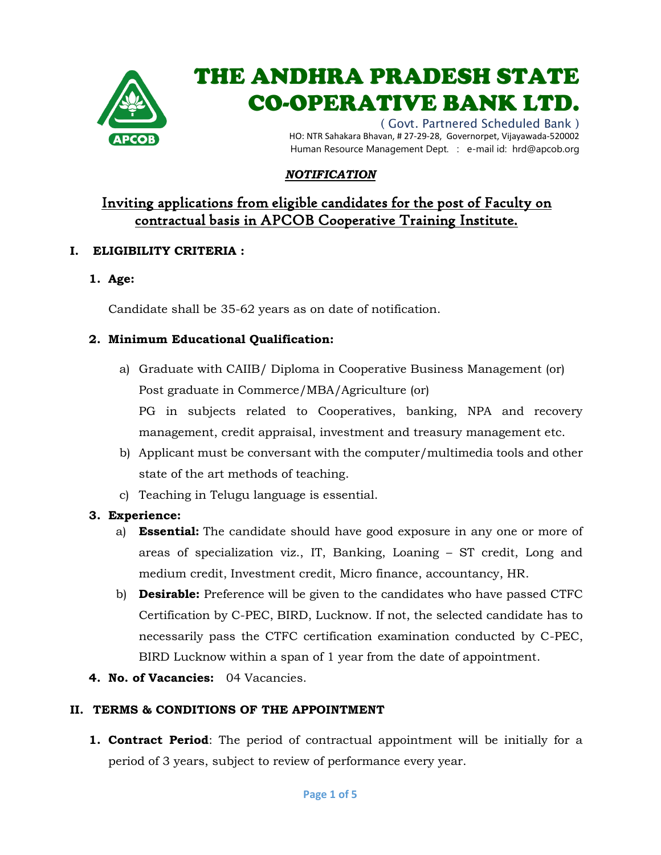

# THE ANDHRA PRADESH STATE CO-OPERATIVE BANK LTD.

( Govt. Partnered Scheduled Bank ) HO: NTR Sahakara Bhavan, # 27-29-28, Governorpet, Vijayawada-520002 Human Resource Management Dept. : e-mail id: hrd@apcob.org

### *NOTIFICATION*

## Inviting applications from eligible candidates for the post of Faculty on contractual basis in APCOB Cooperative Training Institute.

#### **I. ELIGIBILITY CRITERIA :**

**1. Age:**

Candidate shall be 35-62 years as on date of notification.

#### **2. Minimum Educational Qualification:**

- a) Graduate with CAIIB/ Diploma in Cooperative Business Management (or) Post graduate in Commerce/MBA/Agriculture (or) PG in subjects related to Cooperatives, banking, NPA and recovery management, credit appraisal, investment and treasury management etc.
- b) Applicant must be conversant with the computer/multimedia tools and other state of the art methods of teaching.
- c) Teaching in Telugu language is essential.

#### **3. Experience:**

- a) **Essential:** The candidate should have good exposure in any one or more of areas of specialization viz., IT, Banking, Loaning – ST credit, Long and medium credit, Investment credit, Micro finance, accountancy, HR.
- b) **Desirable:** Preference will be given to the candidates who have passed CTFC Certification by C-PEC, BIRD, Lucknow. If not, the selected candidate has to necessarily pass the CTFC certification examination conducted by C-PEC, BIRD Lucknow within a span of 1 year from the date of appointment.
- **4. No. of Vacancies:** 04 Vacancies.

#### **II. TERMS & CONDITIONS OF THE APPOINTMENT**

**1. Contract Period**: The period of contractual appointment will be initially for a period of 3 years, subject to review of performance every year.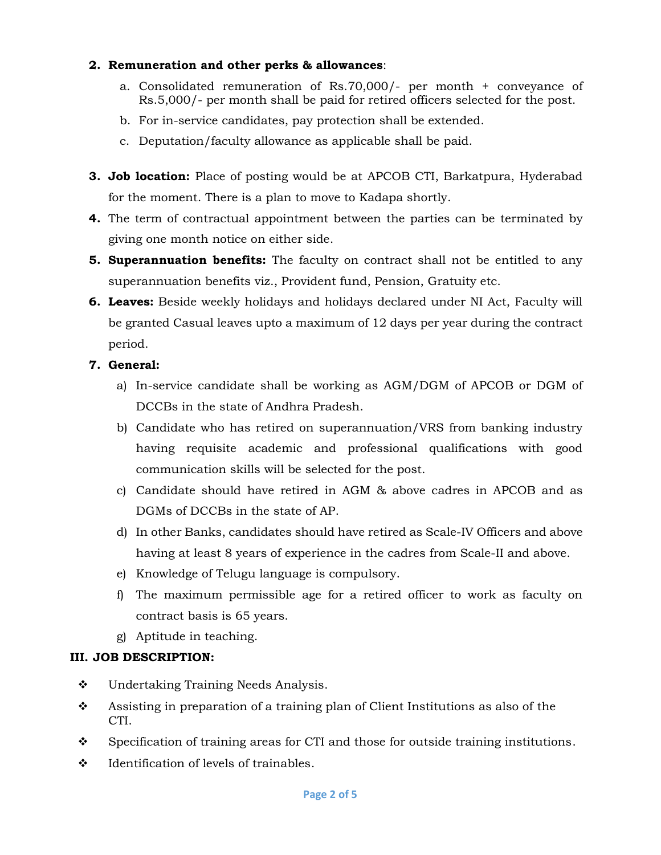#### **2. Remuneration and other perks & allowances**:

- a. Consolidated remuneration of Rs.70,000/- per month + conveyance of Rs.5,000/- per month shall be paid for retired officers selected for the post.
- b. For in-service candidates, pay protection shall be extended.
- c. Deputation/faculty allowance as applicable shall be paid.
- **3. Job location:** Place of posting would be at APCOB CTI, Barkatpura, Hyderabad for the moment. There is a plan to move to Kadapa shortly.
- **4.** The term of contractual appointment between the parties can be terminated by giving one month notice on either side.
- **5. Superannuation benefits:** The faculty on contract shall not be entitled to any superannuation benefits viz., Provident fund, Pension, Gratuity etc.
- **6. Leaves:** Beside weekly holidays and holidays declared under NI Act, Faculty will be granted Casual leaves upto a maximum of 12 days per year during the contract period.

#### **7. General:**

- a) In-service candidate shall be working as AGM/DGM of APCOB or DGM of DCCBs in the state of Andhra Pradesh.
- b) Candidate who has retired on superannuation/VRS from banking industry having requisite academic and professional qualifications with good communication skills will be selected for the post.
- c) Candidate should have retired in AGM & above cadres in APCOB and as DGMs of DCCBs in the state of AP.
- d) In other Banks, candidates should have retired as Scale-IV Officers and above having at least 8 years of experience in the cadres from Scale-II and above.
- e) Knowledge of Telugu language is compulsory.
- f) The maximum permissible age for a retired officer to work as faculty on contract basis is 65 years.
- g) Aptitude in teaching.

#### **III. JOB DESCRIPTION:**

- ◆ Undertaking Training Needs Analysis.
- Assisting in preparation of a training plan of Client Institutions as also of the CTI.
- Specification of training areas for CTI and those for outside training institutions.
- $\div$  Identification of levels of trainables.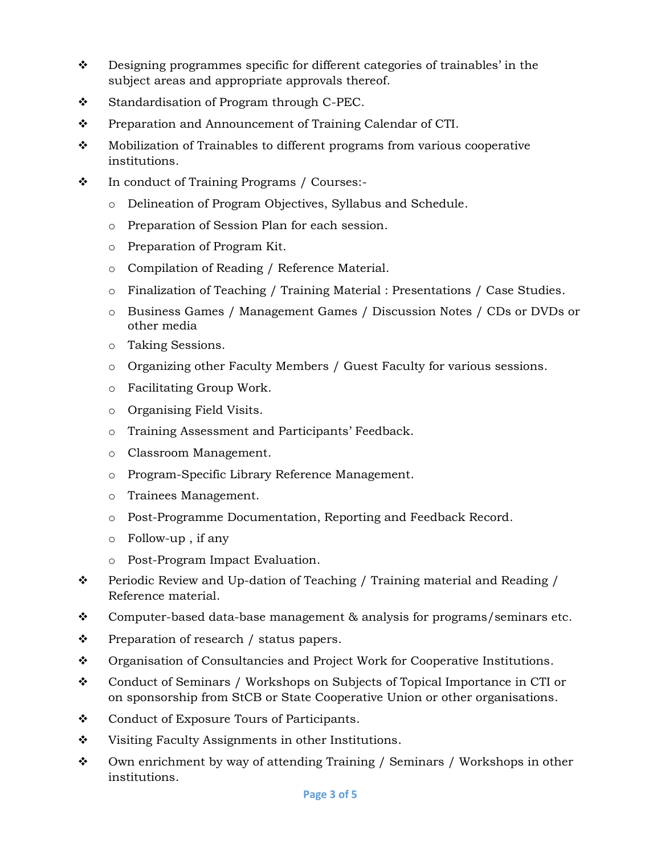- Designing programmes specific for different categories of trainables' in the subject areas and appropriate approvals thereof.
- $\div$  Standardisation of Program through C-PEC.
- Preparation and Announcement of Training Calendar of CTI.
- $\bullet$  Mobilization of Trainables to different programs from various cooperative institutions.
- In conduct of Training Programs / Courses:
	- o Delineation of Program Objectives, Syllabus and Schedule.
	- o Preparation of Session Plan for each session.
	- o Preparation of Program Kit.
	- o Compilation of Reading / Reference Material.
	- o Finalization of Teaching / Training Material : Presentations / Case Studies.
	- o Business Games / Management Games / Discussion Notes / CDs or DVDs or other media
	- o Taking Sessions.
	- o Organizing other Faculty Members / Guest Faculty for various sessions.
	- o Facilitating Group Work.
	- o Organising Field Visits.
	- o Training Assessment and Participants' Feedback.
	- o Classroom Management.
	- o Program-Specific Library Reference Management.
	- o Trainees Management.
	- o Post-Programme Documentation, Reporting and Feedback Record.
	- o Follow-up , if any
	- o Post-Program Impact Evaluation.
- \* Periodic Review and Up-dation of Teaching / Training material and Reading / Reference material.
- Computer-based data-base management  $\&$  analysis for programs/seminars etc.
- $\mathbf{\hat{P}}$  Preparation of research / status papers.
- Organisation of Consultancies and Project Work for Cooperative Institutions.
- Conduct of Seminars / Workshops on Subjects of Topical Importance in CTI or on sponsorship from StCB or State Cooperative Union or other organisations.
- ❖ Conduct of Exposure Tours of Participants.
- Visiting Faculty Assignments in other Institutions.
- $\div$  Own enrichment by way of attending Training / Seminars / Workshops in other institutions.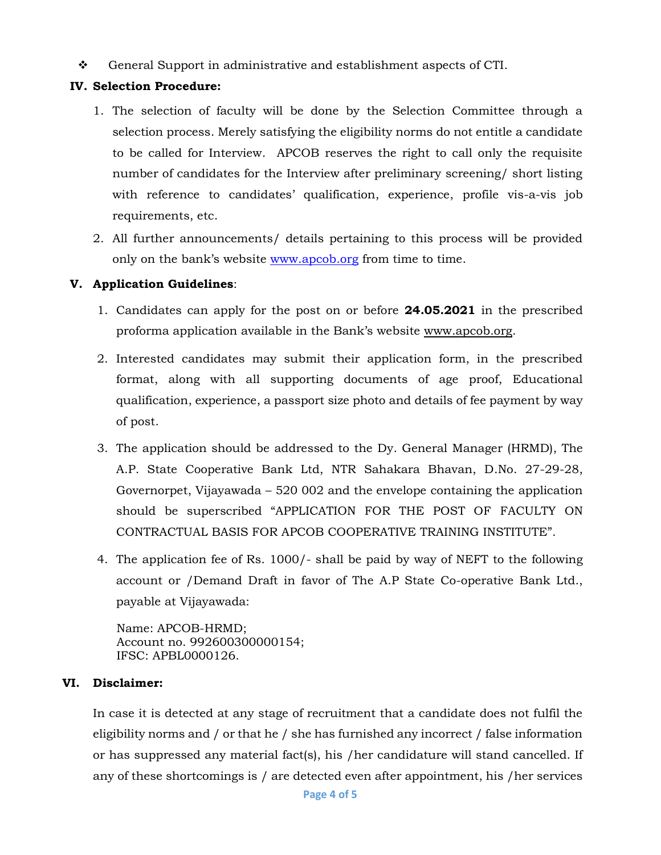$\div$  General Support in administrative and establishment aspects of CTI.

#### **IV. Selection Procedure:**

- 1. The selection of faculty will be done by the Selection Committee through a selection process. Merely satisfying the eligibility norms do not entitle a candidate to be called for Interview. APCOB reserves the right to call only the requisite number of candidates for the Interview after preliminary screening/ short listing with reference to candidates' qualification, experience, profile vis-a-vis job requirements, etc.
- 2. All further announcements/ details pertaining to this process will be provided only on the bank's website [www.apcob.org](http://www.apcob.org/) from time to time.

#### **V. Application Guidelines**:

- 1. Candidates can apply for the post on or before **24.05.2021** in the prescribed proforma application available in the Bank's website [www.apcob.org.](http://www.apcob.org/)
- 2. Interested candidates may submit their application form, in the prescribed format, along with all supporting documents of age proof, Educational qualification, experience, a passport size photo and details of fee payment by way of post.
- 3. The application should be addressed to the Dy. General Manager (HRMD), The A.P. State Cooperative Bank Ltd, NTR Sahakara Bhavan, D.No. 27-29-28, Governorpet, Vijayawada – 520 002 and the envelope containing the application should be superscribed "APPLICATION FOR THE POST OF FACULTY ON CONTRACTUAL BASIS FOR APCOB COOPERATIVE TRAINING INSTITUTE".
- 4. The application fee of Rs. 1000/- shall be paid by way of NEFT to the following account or /Demand Draft in favor of The A.P State Co-operative Bank Ltd., payable at Vijayawada:

Name: APCOB-HRMD; Account no. 992600300000154; IFSC: APBL0000126.

#### **VI. Disclaimer:**

In case it is detected at any stage of recruitment that a candidate does not fulfil the eligibility norms and / or that he / she has furnished any incorrect / false information or has suppressed any material fact(s), his /her candidature will stand cancelled. If any of these shortcomings is / are detected even after appointment, his /her services